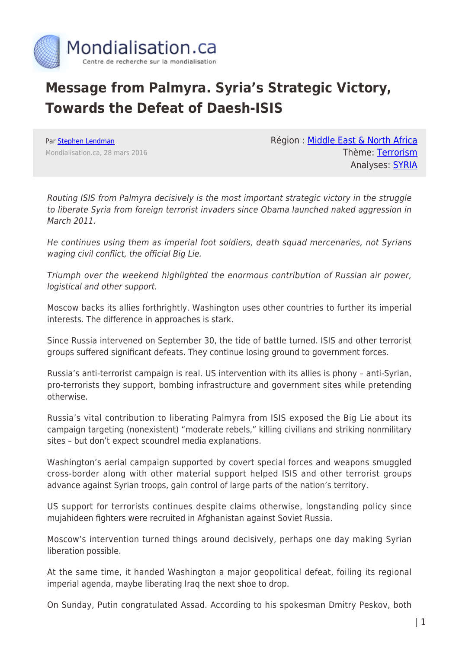

## **Message from Palmyra. Syria's Strategic Victory, Towards the Defeat of Daesh-ISIS**

Par [Stephen Lendman](https://www.mondialisation.ca/author/stephen-lendman) Mondialisation.ca, 28 mars 2016 Région : [Middle East & North Africa](https://www.mondialisation.ca/region/middle-east) Thème: [Terrorism](https://www.mondialisation.ca/theme/9-11-war-on-terrorism) Analyses: [SYRIA](https://www.mondialisation.ca/indepthreport/syria-nato-s-next-war)

Routing ISIS from Palmyra decisively is the most important strategic victory in the struggle to liberate Syria from foreign terrorist invaders since Obama launched naked aggression in March 2011.

He continues using them as imperial foot soldiers, death squad mercenaries, not Syrians waging civil conflict, the official Big Lie.

Triumph over the weekend highlighted the enormous contribution of Russian air power, logistical and other support.

Moscow backs its allies forthrightly. Washington uses other countries to further its imperial interests. The difference in approaches is stark.

Since Russia intervened on September 30, the tide of battle turned. ISIS and other terrorist groups suffered significant defeats. They continue losing ground to government forces.

Russia's anti-terrorist campaign is real. US intervention with its allies is phony – anti-Syrian, pro-terrorists they support, bombing infrastructure and government sites while pretending otherwise.

Russia's vital contribution to liberating Palmyra from ISIS exposed the Big Lie about its campaign targeting (nonexistent) "moderate rebels," killing civilians and striking nonmilitary sites – but don't expect scoundrel media explanations.

Washington's aerial campaign supported by covert special forces and weapons smuggled cross-border along with other material support helped ISIS and other terrorist groups advance against Syrian troops, gain control of large parts of the nation's territory.

US support for terrorists continues despite claims otherwise, longstanding policy since mujahideen fighters were recruited in Afghanistan against Soviet Russia.

Moscow's intervention turned things around decisively, perhaps one day making Syrian liberation possible.

At the same time, it handed Washington a major geopolitical defeat, foiling its regional imperial agenda, maybe liberating Iraq the next shoe to drop.

On Sunday, Putin congratulated Assad. According to his spokesman Dmitry Peskov, both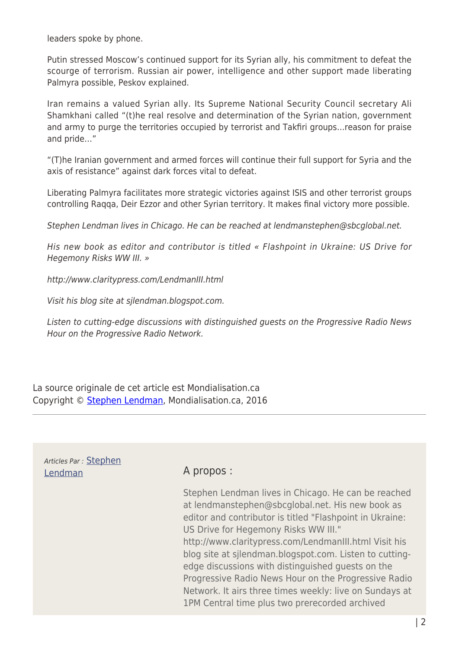leaders spoke by phone.

Putin stressed Moscow's continued support for its Syrian ally, his commitment to defeat the scourge of terrorism. Russian air power, intelligence and other support made liberating Palmyra possible, Peskov explained.

Iran remains a valued Syrian ally. Its Supreme National Security Council secretary Ali Shamkhani called "(t)he real resolve and determination of the Syrian nation, government and army to purge the territories occupied by terrorist and Takfiri groups…reason for praise and pride…"

"(T)he Iranian government and armed forces will continue their full support for Syria and the axis of resistance" against dark forces vital to defeat.

Liberating Palmyra facilitates more strategic victories against ISIS and other terrorist groups controlling Raqqa, Deir Ezzor and other Syrian territory. It makes final victory more possible.

Stephen Lendman lives in Chicago. He can be reached at lendmanstephen@sbcglobal.net.

His new book as editor and contributor is titled « Flashpoint in Ukraine: US Drive for Hegemony Risks WW III. »

http://www.claritypress.com/LendmanIII.html

Visit his blog site at sjlendman.blogspot.com.

Listen to cutting-edge discussions with distinguished guests on the Progressive Radio News Hour on the Progressive Radio Network.

La source originale de cet article est Mondialisation.ca Copyright © [Stephen Lendman,](https://www.mondialisation.ca/author/stephen-lendman) Mondialisation.ca, 2016

## Articles Par : [Stephen](https://www.mondialisation.ca/author/stephen-lendman) [Lendman](https://www.mondialisation.ca/author/stephen-lendman) A propos :

Stephen Lendman lives in Chicago. He can be reached at lendmanstephen@sbcglobal.net. His new book as editor and contributor is titled "Flashpoint in Ukraine: US Drive for Hegemony Risks WW III." http://www.claritypress.com/LendmanIII.html Visit his blog site at sjlendman.blogspot.com. Listen to cuttingedge discussions with distinguished guests on the Progressive Radio News Hour on the Progressive Radio Network. It airs three times weekly: live on Sundays at 1PM Central time plus two prerecorded archived